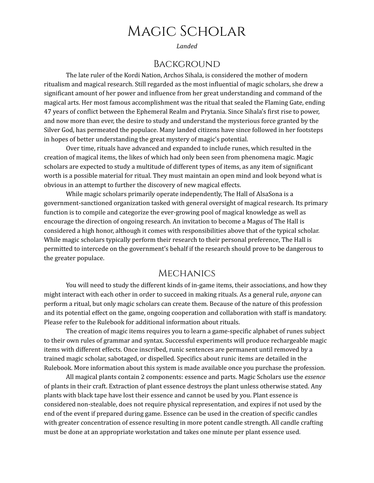# Magic Scholar

*Landed*

#### Background

The late ruler of the Kordi Nation, Archos Sihala, is considered the mother of modern ritualism and magical research. Still regarded as the most influential of magic scholars, she drew a significant amount of her power and influence from her great understanding and command of the magical arts. Her most famous accomplishment was the ritual that sealed the Flaming Gate, ending 47 years of conflict between the Ephemeral Realm and Prytania. Since Sihala's first rise to power, and now more than ever, the desire to study and understand the mysterious force granted by the Silver God, has permeated the populace. Many landed citizens have since followed in her footsteps in hopes of better understanding the great mystery of magic's potential.

Over time, rituals have advanced and expanded to include runes, which resulted in the creation of magical items, the likes of which had only been seen from phenomena magic. Magic scholars are expected to study a multitude of different types of items, as any item of significant worth is a possible material for ritual. They must maintain an open mind and look beyond what is obvious in an attempt to further the discovery of new magical effects.

While magic scholars primarily operate independently, The Hall of AlsaSona is a government-sanctioned organization tasked with general oversight of magical research. Its primary function is to compile and categorize the ever-growing pool of magical knowledge as well as encourage the direction of ongoing research. An invitation to become a Magus of The Hall is considered a high honor, although it comes with responsibilities above that of the typical scholar. While magic scholars typically perform their research to their personal preference, The Hall is permitted to intercede on the government's behalf if the research should prove to be dangerous to the greater populace.

## **MECHANICS**

You will need to study the different kinds of in-game items, their associations, and how they might interact with each other in order to succeed in making rituals. As a general rule, *anyone* can perform a ritual, but only magic scholars can create them. Because of the nature of this profession and its potential effect on the game, ongoing cooperation and collaboration with staff is mandatory. Please refer to the Rulebook for additional information about rituals.

The creation of magic items requires you to learn a game-specific alphabet of runes subject to their own rules of grammar and syntax. Successful experiments will produce rechargeable magic items with different effects. Once inscribed, runic sentences are permanent until removed by a trained magic scholar, sabotaged, or dispelled. Specifics about runic items are detailed in the Rulebook. More information about this system is made available once you purchase the profession.

All magical plants contain 2 components: essence and parts. Magic Scholars use the *essence* of plants in their craft. Extraction of plant essence destroys the plant unless otherwise stated. Any plants with black tape have lost their essence and cannot be used by you. Plant essence is considered non-stealable, does not require physical representation, and expires if not used by the end of the event if prepared during game. Essence can be used in the creation of specific candles with greater concentration of essence resulting in more potent candle strength. All candle crafting must be done at an appropriate workstation and takes one minute per plant essence used.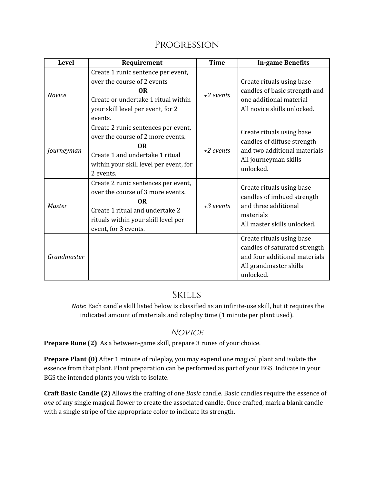| <b>Level</b>  | Requirement                                                                                                                                                                                  | <b>Time</b> | <b>In-game Benefits</b>                                                                                                            |
|---------------|----------------------------------------------------------------------------------------------------------------------------------------------------------------------------------------------|-------------|------------------------------------------------------------------------------------------------------------------------------------|
| <b>Novice</b> | Create 1 runic sentence per event,<br>over the course of 2 events<br><b>OR</b><br>Create or undertake 1 ritual within<br>your skill level per event, for 2<br>events.                        | +2 events   | Create rituals using base<br>candles of basic strength and<br>one additional material<br>All novice skills unlocked.               |
| Journeyman    | Create 2 runic sentences per event,<br>over the course of 2 more events.<br><b>OR</b><br>Create 1 and undertake 1 ritual<br>within your skill level per event, for<br>2 events.              | $+2$ events | Create rituals using base<br>candles of diffuse strength<br>and two additional materials<br>All journeyman skills<br>unlocked.     |
| Master        | Create 2 runic sentences per event,<br>over the course of 3 more events.<br>0 <sub>R</sub><br>Create 1 ritual and undertake 2<br>rituals within your skill level per<br>event, for 3 events. | $+3$ events | Create rituals using base<br>candles of imbued strength<br>and three additional<br>materials<br>All master skills unlocked.        |
| Grandmaster   |                                                                                                                                                                                              |             | Create rituals using base<br>candles of saturated strength<br>and four additional materials<br>All grandmaster skills<br>unlocked. |

## **SKILLS**

*Note*: Each candle skill listed below is classified as an infinite-use skill, but it requires the indicated amount of materials and roleplay time (1 minute per plant used).

## **NOVICE**

**Prepare Rune (2)** As a between-game skill, prepare 3 runes of your choice.

**Prepare Plant (0)** After 1 minute of roleplay, you may expend one magical plant and isolate the essence from that plant. Plant preparation can be performed as part of your BGS. Indicate in your BGS the intended plants you wish to isolate.

**Craft Basic Candle (2)** Allows the crafting of one *Basic* candle*.* Basic candles require the essence of *one* of any single magical flower to create the associated candle. Once crafted, mark a blank candle with a single stripe of the appropriate color to indicate its strength.